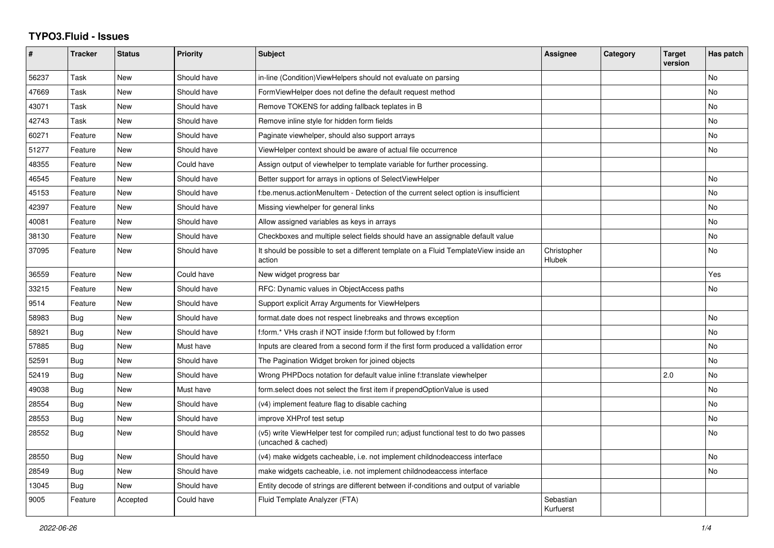## **TYPO3.Fluid - Issues**

| #     | Tracker    | <b>Status</b> | <b>Priority</b> | <b>Subject</b>                                                                                              | Assignee               | Category | <b>Target</b><br>version | Has patch |
|-------|------------|---------------|-----------------|-------------------------------------------------------------------------------------------------------------|------------------------|----------|--------------------------|-----------|
| 56237 | Task       | <b>New</b>    | Should have     | in-line (Condition) ViewHelpers should not evaluate on parsing                                              |                        |          |                          | <b>No</b> |
| 47669 | Task       | <b>New</b>    | Should have     | FormViewHelper does not define the default request method                                                   |                        |          |                          | No        |
| 43071 | Task       | New           | Should have     | Remove TOKENS for adding fallback teplates in B                                                             |                        |          |                          | No        |
| 42743 | Task       | <b>New</b>    | Should have     | Remove inline style for hidden form fields                                                                  |                        |          |                          | <b>No</b> |
| 60271 | Feature    | New           | Should have     | Paginate viewhelper, should also support arrays                                                             |                        |          |                          | No        |
| 51277 | Feature    | <b>New</b>    | Should have     | ViewHelper context should be aware of actual file occurrence                                                |                        |          |                          | No        |
| 48355 | Feature    | <b>New</b>    | Could have      | Assign output of viewhelper to template variable for further processing.                                    |                        |          |                          |           |
| 46545 | Feature    | New           | Should have     | Better support for arrays in options of SelectViewHelper                                                    |                        |          |                          | No        |
| 45153 | Feature    | New           | Should have     | f:be.menus.actionMenuItem - Detection of the current select option is insufficient                          |                        |          |                          | No        |
| 42397 | Feature    | New           | Should have     | Missing viewhelper for general links                                                                        |                        |          |                          | <b>No</b> |
| 40081 | Feature    | New           | Should have     | Allow assigned variables as keys in arrays                                                                  |                        |          |                          | <b>No</b> |
| 38130 | Feature    | New           | Should have     | Checkboxes and multiple select fields should have an assignable default value                               |                        |          |                          | No        |
| 37095 | Feature    | New           | Should have     | It should be possible to set a different template on a Fluid TemplateView inside an<br>action               | Christopher<br>Hlubek  |          |                          | No        |
| 36559 | Feature    | New           | Could have      | New widget progress bar                                                                                     |                        |          |                          | Yes       |
| 33215 | Feature    | <b>New</b>    | Should have     | RFC: Dynamic values in ObjectAccess paths                                                                   |                        |          |                          | <b>No</b> |
| 9514  | Feature    | New           | Should have     | Support explicit Array Arguments for ViewHelpers                                                            |                        |          |                          |           |
| 58983 | Bug        | New           | Should have     | format date does not respect linebreaks and throws exception                                                |                        |          |                          | <b>No</b> |
| 58921 | Bug        | <b>New</b>    | Should have     | f:form.* VHs crash if NOT inside f:form but followed by f:form                                              |                        |          |                          | <b>No</b> |
| 57885 | Bug        | New           | Must have       | Inputs are cleared from a second form if the first form produced a vallidation error                        |                        |          |                          | No        |
| 52591 | Bug        | New           | Should have     | The Pagination Widget broken for joined objects                                                             |                        |          |                          | No        |
| 52419 | <b>Bug</b> | <b>New</b>    | Should have     | Wrong PHPDocs notation for default value inline f:translate viewhelper                                      |                        |          | 2.0                      | <b>No</b> |
| 49038 | Bug        | <b>New</b>    | Must have       | form.select does not select the first item if prependOptionValue is used                                    |                        |          |                          | <b>No</b> |
| 28554 | Bug        | New           | Should have     | (v4) implement feature flag to disable caching                                                              |                        |          |                          | No        |
| 28553 | Bug        | <b>New</b>    | Should have     | improve XHProf test setup                                                                                   |                        |          |                          | <b>No</b> |
| 28552 | Bug        | <b>New</b>    | Should have     | (v5) write ViewHelper test for compiled run; adjust functional test to do two passes<br>(uncached & cached) |                        |          |                          | <b>No</b> |
| 28550 | Bug        | New           | Should have     | (v4) make widgets cacheable, i.e. not implement childnodeaccess interface                                   |                        |          |                          | <b>No</b> |
| 28549 | Bug        | <b>New</b>    | Should have     | make widgets cacheable, i.e. not implement childnodeaccess interface                                        |                        |          |                          | <b>No</b> |
| 13045 | Bug        | <b>New</b>    | Should have     | Entity decode of strings are different between if-conditions and output of variable                         |                        |          |                          |           |
| 9005  | Feature    | Accepted      | Could have      | Fluid Template Analyzer (FTA)                                                                               | Sebastian<br>Kurfuerst |          |                          |           |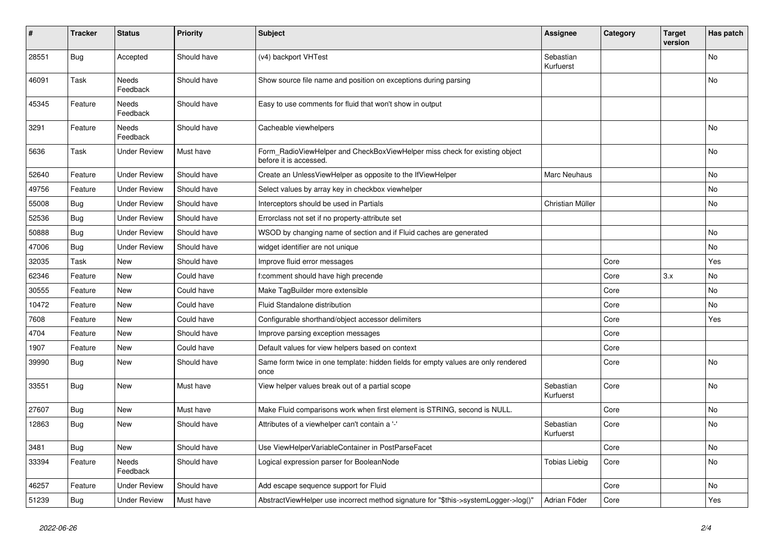| #     | <b>Tracker</b> | <b>Status</b>            | <b>Priority</b> | <b>Subject</b>                                                                                       | <b>Assignee</b>        | Category | <b>Target</b><br>version | Has patch |
|-------|----------------|--------------------------|-----------------|------------------------------------------------------------------------------------------------------|------------------------|----------|--------------------------|-----------|
| 28551 | <b>Bug</b>     | Accepted                 | Should have     | (v4) backport VHTest                                                                                 | Sebastian<br>Kurfuerst |          |                          | No        |
| 46091 | Task           | <b>Needs</b><br>Feedback | Should have     | Show source file name and position on exceptions during parsing                                      |                        |          |                          | No        |
| 45345 | Feature        | Needs<br>Feedback        | Should have     | Easy to use comments for fluid that won't show in output                                             |                        |          |                          |           |
| 3291  | Feature        | Needs<br>Feedback        | Should have     | Cacheable viewhelpers                                                                                |                        |          |                          | <b>No</b> |
| 5636  | Task           | <b>Under Review</b>      | Must have       | Form_RadioViewHelper and CheckBoxViewHelper miss check for existing object<br>before it is accessed. |                        |          |                          | No        |
| 52640 | Feature        | <b>Under Review</b>      | Should have     | Create an UnlessViewHelper as opposite to the IfViewHelper                                           | Marc Neuhaus           |          |                          | <b>No</b> |
| 49756 | Feature        | <b>Under Review</b>      | Should have     | Select values by array key in checkbox viewhelper                                                    |                        |          |                          | No        |
| 55008 | Bug            | <b>Under Review</b>      | Should have     | Interceptors should be used in Partials                                                              | Christian Müller       |          |                          | <b>No</b> |
| 52536 | <b>Bug</b>     | <b>Under Review</b>      | Should have     | Errorclass not set if no property-attribute set                                                      |                        |          |                          |           |
| 50888 | Bug            | Under Review             | Should have     | WSOD by changing name of section and if Fluid caches are generated                                   |                        |          |                          | <b>No</b> |
| 47006 | Bug            | <b>Under Review</b>      | Should have     | widget identifier are not unique                                                                     |                        |          |                          | <b>No</b> |
| 32035 | Task           | <b>New</b>               | Should have     | Improve fluid error messages                                                                         |                        | Core     |                          | Yes       |
| 62346 | Feature        | <b>New</b>               | Could have      | f:comment should have high precende                                                                  |                        | Core     | 3.x                      | <b>No</b> |
| 30555 | Feature        | New                      | Could have      | Make TagBuilder more extensible                                                                      |                        | Core     |                          | <b>No</b> |
| 10472 | Feature        | New                      | Could have      | Fluid Standalone distribution                                                                        |                        | Core     |                          | <b>No</b> |
| 7608  | Feature        | New                      | Could have      | Configurable shorthand/object accessor delimiters                                                    |                        | Core     |                          | Yes       |
| 4704  | Feature        | <b>New</b>               | Should have     | Improve parsing exception messages                                                                   |                        | Core     |                          |           |
| 1907  | Feature        | New                      | Could have      | Default values for view helpers based on context                                                     |                        | Core     |                          |           |
| 39990 | Bug            | New                      | Should have     | Same form twice in one template: hidden fields for empty values are only rendered<br>once            |                        | Core     |                          | No        |
| 33551 | Bug            | <b>New</b>               | Must have       | View helper values break out of a partial scope                                                      | Sebastian<br>Kurfuerst | Core     |                          | <b>No</b> |
| 27607 | Bug            | New                      | Must have       | Make Fluid comparisons work when first element is STRING, second is NULL.                            |                        | Core     |                          | No        |
| 12863 | Bug            | New                      | Should have     | Attributes of a viewhelper can't contain a '-'                                                       | Sebastian<br>Kurfuerst | Core     |                          | No        |
| 3481  | Bug            | New                      | Should have     | Use ViewHelperVariableContainer in PostParseFacet                                                    |                        | Core     |                          | No        |
| 33394 | Feature        | <b>Needs</b><br>Feedback | Should have     | Logical expression parser for BooleanNode                                                            | Tobias Liebig          | Core     |                          | <b>No</b> |
| 46257 | Feature        | <b>Under Review</b>      | Should have     | Add escape sequence support for Fluid                                                                |                        | Core     |                          | No        |
| 51239 | <b>Bug</b>     | <b>Under Review</b>      | Must have       | AbstractViewHelper use incorrect method signature for "\$this->systemLogger->log()"                  | Adrian Föder           | Core     |                          | Yes       |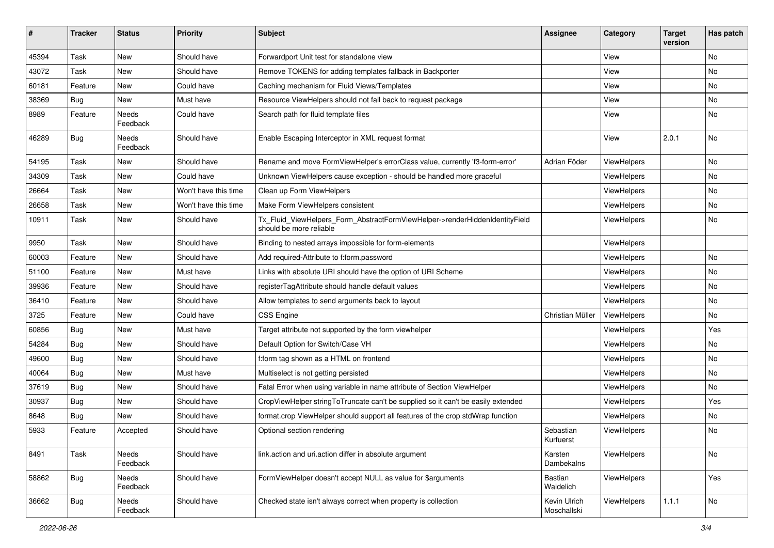| #     | <b>Tracker</b> | <b>Status</b>     | <b>Priority</b>      | <b>Subject</b>                                                                                         | <b>Assignee</b>             | Category    | <b>Target</b><br>version | Has patch |
|-------|----------------|-------------------|----------------------|--------------------------------------------------------------------------------------------------------|-----------------------------|-------------|--------------------------|-----------|
| 45394 | Task           | New               | Should have          | Forwardport Unit test for standalone view                                                              |                             | View        |                          | <b>No</b> |
| 43072 | Task           | New               | Should have          | Remove TOKENS for adding templates fallback in Backporter                                              |                             | View        |                          | No        |
| 60181 | Feature        | New               | Could have           | Caching mechanism for Fluid Views/Templates                                                            |                             | View        |                          | No        |
| 38369 | Bug            | New               | Must have            | Resource ViewHelpers should not fall back to request package                                           |                             | View        |                          | No        |
| 8989  | Feature        | Needs<br>Feedback | Could have           | Search path for fluid template files                                                                   |                             | View        |                          | No        |
| 46289 | Bug            | Needs<br>Feedback | Should have          | Enable Escaping Interceptor in XML request format                                                      |                             | View        | 2.0.1                    | No        |
| 54195 | Task           | New               | Should have          | Rename and move FormViewHelper's errorClass value, currently 'f3-form-error'                           | Adrian Föder                | ViewHelpers |                          | No        |
| 34309 | Task           | New               | Could have           | Unknown ViewHelpers cause exception - should be handled more graceful                                  |                             | ViewHelpers |                          | No        |
| 26664 | Task           | New               | Won't have this time | Clean up Form ViewHelpers                                                                              |                             | ViewHelpers |                          | No        |
| 26658 | Task           | New               | Won't have this time | Make Form ViewHelpers consistent                                                                       |                             | ViewHelpers |                          | No        |
| 10911 | Task           | New               | Should have          | Tx_Fluid_ViewHelpers_Form_AbstractFormViewHelper->renderHiddenIdentityField<br>should be more reliable |                             | ViewHelpers |                          | No        |
| 9950  | Task           | New               | Should have          | Binding to nested arrays impossible for form-elements                                                  |                             | ViewHelpers |                          |           |
| 60003 | Feature        | New               | Should have          | Add required-Attribute to f:form.password                                                              |                             | ViewHelpers |                          | No        |
| 51100 | Feature        | New               | Must have            | Links with absolute URI should have the option of URI Scheme                                           |                             | ViewHelpers |                          | No        |
| 39936 | Feature        | New               | Should have          | registerTagAttribute should handle default values                                                      |                             | ViewHelpers |                          | No        |
| 36410 | Feature        | New               | Should have          | Allow templates to send arguments back to layout                                                       |                             | ViewHelpers |                          | No        |
| 3725  | Feature        | New               | Could have           | <b>CSS Engine</b>                                                                                      | Christian Müller            | ViewHelpers |                          | No        |
| 60856 | Bug            | New               | Must have            | Target attribute not supported by the form viewhelper                                                  |                             | ViewHelpers |                          | Yes       |
| 54284 | Bug            | New               | Should have          | Default Option for Switch/Case VH                                                                      |                             | ViewHelpers |                          | No        |
| 49600 | Bug            | New               | Should have          | f:form tag shown as a HTML on frontend                                                                 |                             | ViewHelpers |                          | No        |
| 40064 | Bug            | New               | Must have            | Multiselect is not getting persisted                                                                   |                             | ViewHelpers |                          | No        |
| 37619 | Bug            | New               | Should have          | Fatal Error when using variable in name attribute of Section ViewHelper                                |                             | ViewHelpers |                          | No        |
| 30937 | Bug            | New               | Should have          | CropViewHelper stringToTruncate can't be supplied so it can't be easily extended                       |                             | ViewHelpers |                          | Yes       |
| 8648  | Bug            | New               | Should have          | format.crop ViewHelper should support all features of the crop stdWrap function                        |                             | ViewHelpers |                          | <b>No</b> |
| 5933  | Feature        | Accepted          | Should have          | Optional section rendering                                                                             | Sebastian<br>Kurfuerst      | ViewHelpers |                          | No        |
| 8491  | Task           | Needs<br>Feedback | Should have          | link.action and uri.action differ in absolute argument                                                 | Karsten<br>Dambekalns       | ViewHelpers |                          | No        |
| 58862 | <b>Bug</b>     | Needs<br>Feedback | Should have          | FormViewHelper doesn't accept NULL as value for \$arguments                                            | Bastian<br>Waidelich        | ViewHelpers |                          | Yes       |
| 36662 | <b>Bug</b>     | Needs<br>Feedback | Should have          | Checked state isn't always correct when property is collection                                         | Kevin Ulrich<br>Moschallski | ViewHelpers | 1.1.1                    | No        |